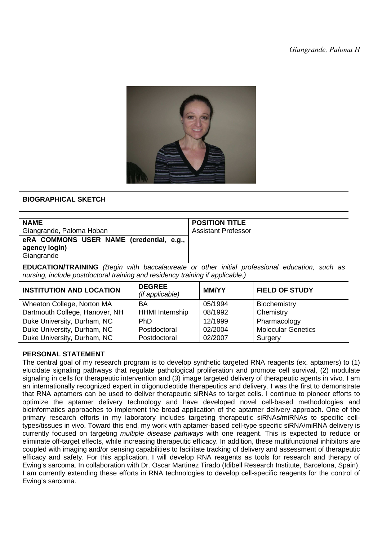

## **BIOGRAPHICAL SKETCH**

| <b>NAME</b>                                                                                          | <b>POSITION TITLE</b>      |  |
|------------------------------------------------------------------------------------------------------|----------------------------|--|
| Giangrande, Paloma Hoban                                                                             | <b>Assistant Professor</b> |  |
| eRA COMMONS USER NAME (credential, e.g.,<br>agency login)<br>Giangrande                              |                            |  |
| $FNIOATIONITD AINIBO$ (Desimply in the beacologue of a sthere initial professional education and see |                            |  |

**EDUCATION/TRAINING** (Begin with baccalaureate or other initial professional education, such as nursing, include postdoctoral training and residency training if applicable.)

| <b>INSTITUTION AND LOCATION</b> | <b>DEGREE</b><br>(if applicable) | <b>MM/YY</b> | <b>FIELD OF STUDY</b>     |
|---------------------------------|----------------------------------|--------------|---------------------------|
| Wheaton College, Norton MA      | <b>BA</b>                        | 05/1994      | Biochemistry              |
| Dartmouth College, Hanover, NH  | <b>HHMI</b> Internship           | 08/1992      | Chemistry                 |
| Duke University, Durham, NC     | PhD.                             | 12/1999      | Pharmacology              |
| Duke University, Durham, NC     | Postdoctoral                     | 02/2004      | <b>Molecular Genetics</b> |
| Duke University, Durham, NC     | Postdoctoral                     | 02/2007      | Surgery                   |

## **PERSONAL STATEMENT**

The central goal of my research program is to develop synthetic targeted RNA reagents (ex. aptamers) to (1) elucidate signaling pathways that regulate pathological proliferation and promote cell survival, (2) modulate signaling in cells for therapeutic intervention and (3) image targeted delivery of therapeutic agents in vivo. I am an internationally recognized expert in oligonucleotide therapeutics and delivery. I was the first to demonstrate that RNA aptamers can be used to deliver therapeutic siRNAs to target cells. I continue to pioneer efforts to optimize the aptamer delivery technology and have developed novel cell-based methodologies and bioinformatics approaches to implement the broad application of the aptamer delivery approach. One of the primary research efforts in my laboratory includes targeting therapeutic siRNAs/miRNAs to specific celltypes/tissues in vivo. Toward this end, my work with aptamer-based cell-type specific siRNA/miRNA delivery is currently focused on targeting multiple disease pathways with one reagent. This is expected to reduce or eliminate off-target effects, while increasing therapeutic efficacy. In addition, these multifunctional inhibitors are coupled with imaging and/or sensing capabilities to facilitate tracking of delivery and assessment of therapeutic efficacy and safety. For this application, I will develop RNA reagents as tools for research and therapy of Ewing's sarcoma. In collaboration with Dr. Oscar Martinez Tirado (Idibell Research Institute, Barcelona, Spain), I am currently extending these efforts in RNA technologies to develop cell-specific reagents for the control of Ewing's sarcoma.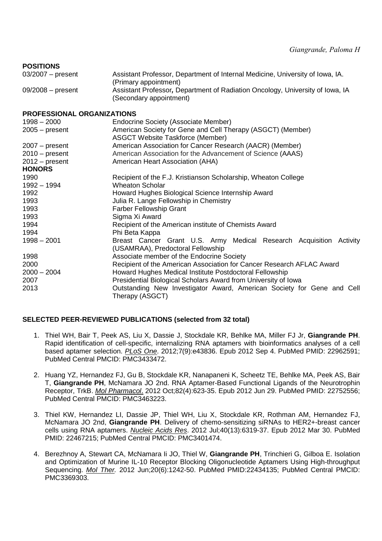| <b>POSITIONS</b> |  |
|------------------|--|
|------------------|--|

| $03/2007$ – present | Assistant Professor, Department of Internal Medicine, University of Iowa, IA. |
|---------------------|-------------------------------------------------------------------------------|
|                     | (Primary appointment)                                                         |
| $09/2008$ – present | Assistant Professor, Department of Radiation Oncology, University of Iowa, IA |
|                     | (Secondary appointment)                                                       |
|                     |                                                                               |

## **PROFESSIONAL ORGANIZATIONS**

| י וזטו בטטוטוזאב טוזטאוואוואווי |                                                                        |
|---------------------------------|------------------------------------------------------------------------|
| $1998 - 2000$                   | Endocrine Society (Associate Member)                                   |
| 2005 – present                  | American Society for Gene and Cell Therapy (ASGCT) (Member)            |
|                                 | <b>ASGCT Website Taskforce (Member)</b>                                |
| $2007 - present$                | American Association for Cancer Research (AACR) (Member)               |
| $2010 - present$                | American Association for the Advancement of Science (AAAS)             |
| 2012 – present                  | American Heart Association (AHA)                                       |
| <b>HONORS</b>                   |                                                                        |
| 1990                            | Recipient of the F.J. Kristianson Scholarship, Wheaton College         |
| 1992 - 1994                     | <b>Wheaton Scholar</b>                                                 |
| 1992                            | Howard Hughes Biological Science Internship Award                      |
| 1993                            | Julia R. Lange Fellowship in Chemistry                                 |
| 1993                            | <b>Farber Fellowship Grant</b>                                         |
| 1993                            | Sigma Xi Award                                                         |
| 1994                            | Recipient of the American institute of Chemists Award                  |
| 1994                            | Phi Beta Kappa                                                         |
| $1998 - 2001$                   | Breast Cancer Grant U.S. Army Medical Research Acquisition Activity    |
|                                 | (USAMRAA), Predoctoral Fellowship                                      |
| 1998                            | Associate member of the Endocrine Society                              |
| 2000                            | Recipient of the American Association for Cancer Research AFLAC Award  |
| $2000 - 2004$                   | Howard Hughes Medical Institute Postdoctoral Fellowship                |
| 2007                            | Presidential Biological Scholars Award from University of Iowa         |
| 2013                            | Outstanding New Investigator Award, American Society for Gene and Cell |
|                                 | Therapy (ASGCT)                                                        |
|                                 |                                                                        |

# **SELECTED PEER-REVIEWED PUBLICATIONS (selected from 32 total)**

- 1. Thiel WH, Bair T, Peek AS, Liu X, Dassie J, Stockdale KR, Behlke MA, Miller FJ Jr, **Giangrande PH**. Rapid identification of cell-specific, internalizing RNA aptamers with bioinformatics analyses of a cell based aptamer selection. PLoS One. 2012;7(9):e43836. Epub 2012 Sep 4. PubMed PMID: 22962591; PubMed Central PMCID: PMC3433472.
- 2. Huang YZ, Hernandez FJ, Gu B, Stockdale KR, Nanapaneni K, Scheetz TE, Behlke MA, Peek AS, Bair T, **Giangrande PH**, McNamara JO 2nd. RNA Aptamer-Based Functional Ligands of the Neurotrophin Receptor, TrkB. Mol Pharmacol. 2012 Oct;82(4):623-35. Epub 2012 Jun 29. PubMed PMID: 22752556; PubMed Central PMCID: PMC3463223.
- 3. Thiel KW, Hernandez LI, Dassie JP, Thiel WH, Liu X, Stockdale KR, Rothman AM, Hernandez FJ, McNamara JO 2nd, **Giangrande PH**. Delivery of chemo-sensitizing siRNAs to HER2+-breast cancer cells using RNA aptamers. Nucleic Acids Res. 2012 Jul;40(13):6319-37. Epub 2012 Mar 30. PubMed PMID: 22467215; PubMed Central PMCID: PMC3401474.
- 4. Berezhnoy A, Stewart CA, McNamara Ii JO, Thiel W, **Giangrande PH**, Trinchieri G, Gilboa E. Isolation and Optimization of Murine IL-10 Receptor Blocking Oligonucleotide Aptamers Using High-throughput Sequencing. Mol Ther. 2012 Jun;20(6):1242-50. PubMed PMID:22434135; PubMed Central PMCID: PMC3369303.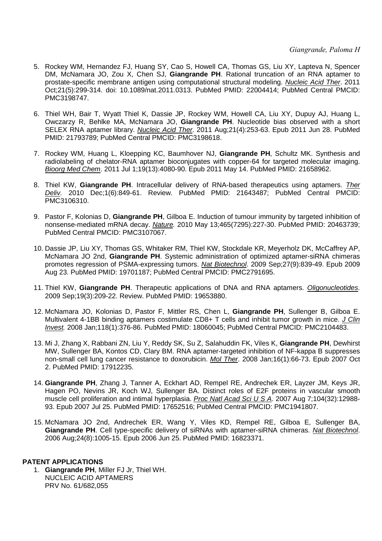- 5. Rockey WM, Hernandez FJ, Huang SY, Cao S, Howell CA, Thomas GS, Liu XY, Lapteva N, Spencer DM, McNamara JO, Zou X, Chen SJ, **Giangrande PH**. Rational truncation of an RNA aptamer to prostate-specific membrane antigen using computational structural modeling. Nucleic Acid Ther. 2011 Oct;21(5):299-314. doi: 10.1089/nat.2011.0313. PubMed PMID: 22004414; PubMed Central PMCID: PMC3198747.
- 6. Thiel WH, Bair T, Wyatt Thiel K, Dassie JP, Rockey WM, Howell CA, Liu XY, Dupuy AJ, Huang L, Owczarzy R, Behlke MA, McNamara JO, **Giangrande PH**. Nucleotide bias observed with a short SELEX RNA aptamer library. Nucleic Acid Ther. 2011 Aug;21(4):253-63. Epub 2011 Jun 28. PubMed PMID: 21793789; PubMed Central PMCID: PMC3198618.
- 7. Rockey WM, Huang L, Kloepping KC, Baumhover NJ, **Giangrande PH**, Schultz MK. Synthesis and radiolabeling of chelator-RNA aptamer bioconjugates with copper-64 for targeted molecular imaging. Bioorg Med Chem. 2011 Jul 1;19(13):4080-90. Epub 2011 May 14. PubMed PMID: 21658962.
- 8. Thiel KW, **Giangrande PH**. Intracellular delivery of RNA-based therapeutics using aptamers. Ther Deliv. 2010 Dec;1(6):849-61. Review. PubMed PMID: 21643487; PubMed Central PMCID: PMC3106310.
- 9. Pastor F, Kolonias D, **Giangrande PH**, Gilboa E. Induction of tumour immunity by targeted inhibition of nonsense-mediated mRNA decay. Nature. 2010 May 13;465(7295):227-30. PubMed PMID: 20463739; PubMed Central PMCID: PMC3107067.
- 10. Dassie JP, Liu XY, Thomas GS, Whitaker RM, Thiel KW, Stockdale KR, Meyerholz DK, McCaffrey AP, McNamara JO 2nd, **Giangrande PH**. Systemic administration of optimized aptamer-siRNA chimeras promotes regression of PSMA-expressing tumors. Nat Biotechnol. 2009 Sep;27(9):839-49. Epub 2009 Aug 23. PubMed PMID: 19701187; PubMed Central PMCID: PMC2791695.
- 11. Thiel KW, **Giangrande PH**. Therapeutic applications of DNA and RNA aptamers. Oligonucleotides. 2009 Sep;19(3):209-22. Review. PubMed PMID: 19653880.
- 12. McNamara JO, Kolonias D, Pastor F, Mittler RS, Chen L, **Giangrande PH**, Sullenger B, Gilboa E. Multivalent 4-1BB binding aptamers costimulate CD8+ T cells and inhibit tumor growth in mice. J Clin Invest. 2008 Jan;118(1):376-86. PubMed PMID: 18060045; PubMed Central PMCID: PMC2104483.
- 13. Mi J, Zhang X, Rabbani ZN, Liu Y, Reddy SK, Su Z, Salahuddin FK, Viles K, **Giangrande PH**, Dewhirst MW, Sullenger BA, Kontos CD, Clary BM. RNA aptamer-targeted inhibition of NF-kappa B suppresses non-small cell lung cancer resistance to doxorubicin. Mol Ther. 2008 Jan;16(1):66-73. Epub 2007 Oct 2. PubMed PMID: 17912235.
- 14. **Giangrande PH**, Zhang J, Tanner A, Eckhart AD, Rempel RE, Andrechek ER, Layzer JM, Keys JR, Hagen PO, Nevins JR, Koch WJ, Sullenger BA. Distinct roles of E2F proteins in vascular smooth muscle cell proliferation and intimal hyperplasia. Proc Natl Acad Sci U S A. 2007 Aug 7;104(32):12988- 93. Epub 2007 Jul 25. PubMed PMID: 17652516; PubMed Central PMCID: PMC1941807.
- 15. McNamara JO 2nd, Andrechek ER, Wang Y, Viles KD, Rempel RE, Gilboa E, Sullenger BA, **Giangrande PH**. Cell type-specific delivery of siRNAs with aptamer-siRNA chimeras. Nat Biotechnol. 2006 Aug;24(8):1005-15. Epub 2006 Jun 25. PubMed PMID: 16823371.

#### **PATENT APPLICATIONS**

1. **Giangrande PH**, Miller FJ Jr, Thiel WH. NUCLEIC ACID APTAMERS PRV No. 61/682,055